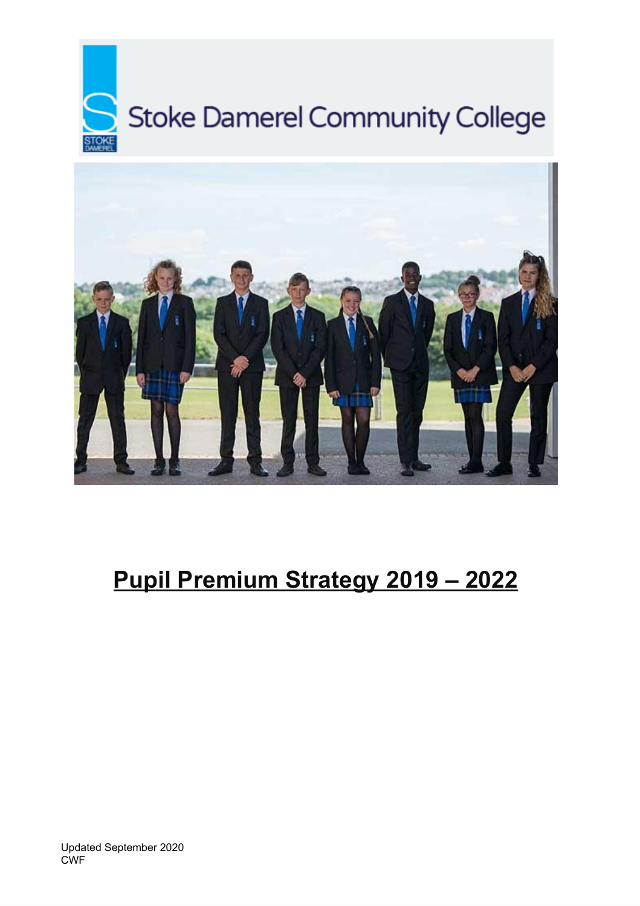



# **Pupil Premium Strategy 2019 – 2022**

Updated September 2020 CWF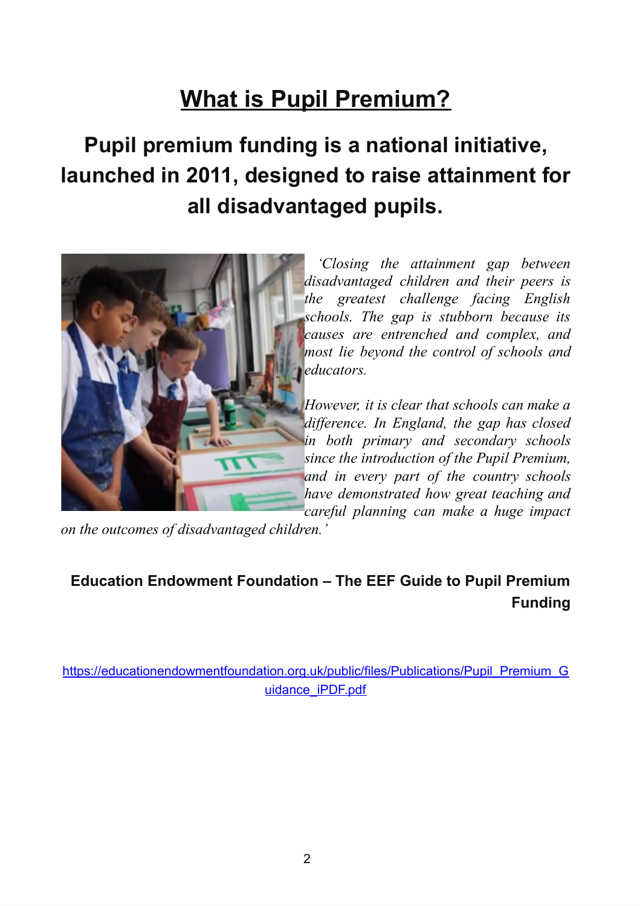# **What is Pupil Premium?**

# **Pupil premium funding is a national initiative, launched in 2011, designed to raise attainment for all disadvantaged pupils.**



*'Closing the attainment gap between disadvantaged children and their peers is the greatest challenge facing English schools. The gap is stubborn because its causes are entrenched and complex, and most lie beyond the control of schools and educators.*

*However, it is clear that schools can make a dif erence. In England, the gap has closed in both primary and secondary schools since the introduction of the Pupil Premium, and in every part of the country schools have demonstrated how great teaching and careful planning can make a huge impact*

*on the outcomes of disadvantaged children.'*

# **Education Endowment Foundation – The EEF Guide to Pupil Premium Funding**

https://educationendowmentfoundation.org.uk/public/files/Publications/Pupil\_Premium\_G [uidance\\_iPDF.pdf](https://educationendowmentfoundation.org.uk/public/files/Publications/Pupil_Premium_Guidance_iPDF.pdf)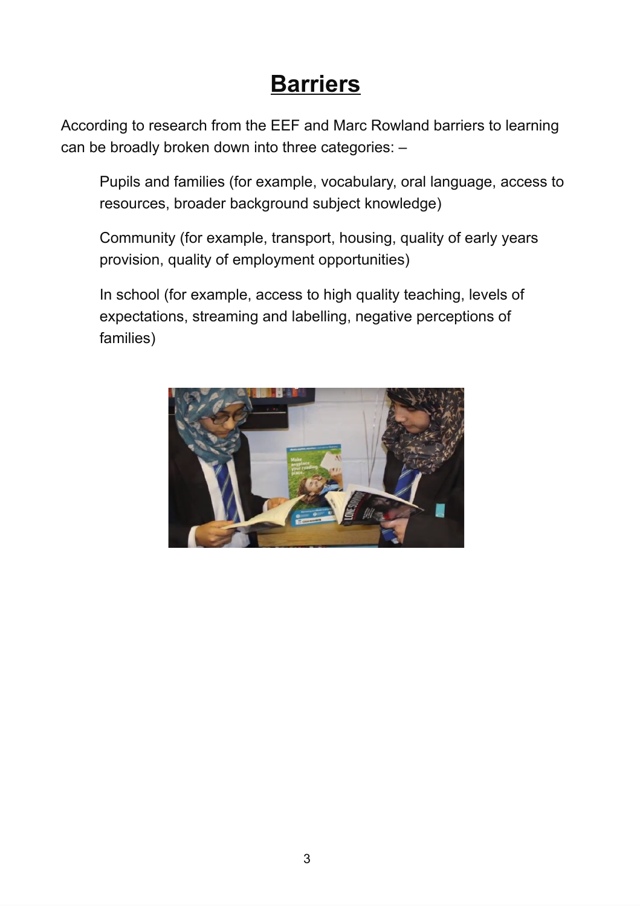# **Barriers**

According to research from the EEF and Marc Rowland barriers to learning can be broadly broken down into three categories: –

Pupils and families (for example, vocabulary, oral language, access to resources, broader background subject knowledge)

Community (for example, transport, housing, quality of early years provision, quality of employment opportunities)

In school (for example, access to high quality teaching, levels of expectations, streaming and labelling, negative perceptions of families)

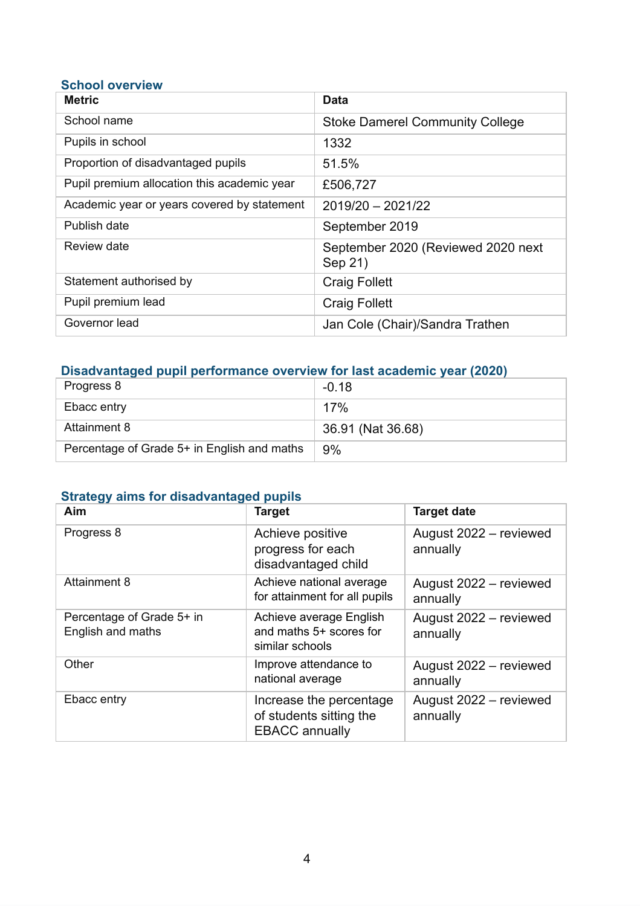### **School overview**

| <b>Metric</b>                               | Data                                          |
|---------------------------------------------|-----------------------------------------------|
| School name                                 | <b>Stoke Damerel Community College</b>        |
| Pupils in school                            | 1332                                          |
| Proportion of disadvantaged pupils          | 51.5%                                         |
| Pupil premium allocation this academic year | £506,727                                      |
| Academic year or years covered by statement | $2019/20 - 2021/22$                           |
| Publish date                                | September 2019                                |
| Review date                                 | September 2020 (Reviewed 2020 next<br>Sep 21) |
| Statement authorised by                     | <b>Craig Follett</b>                          |
| Pupil premium lead                          | <b>Craig Follett</b>                          |
| Governor lead                               | Jan Cole (Chair)/Sandra Trathen               |

### **Disadvantaged pupil performance overview for last academic year (2020)**

| Progress 8                                  | $-0.18$           |
|---------------------------------------------|-------------------|
| Ebacc entry                                 | 17%               |
| Attainment 8                                | 36.91 (Nat 36.68) |
| Percentage of Grade 5+ in English and maths | 9%                |

## **Strategy aims for disadvantaged pupils**

| Aim                                            | <b>Target</b>                                                               | <b>Target date</b>                 |
|------------------------------------------------|-----------------------------------------------------------------------------|------------------------------------|
| Progress 8                                     | Achieve positive<br>progress for each<br>disadvantaged child                | August 2022 - reviewed<br>annually |
| <b>Attainment 8</b>                            | Achieve national average<br>for attainment for all pupils                   | August 2022 - reviewed<br>annually |
| Percentage of Grade 5+ in<br>English and maths | Achieve average English<br>and maths 5+ scores for<br>similar schools       | August 2022 - reviewed<br>annually |
| Other                                          | Improve attendance to<br>national average                                   | August 2022 - reviewed<br>annually |
| Ebacc entry                                    | Increase the percentage<br>of students sitting the<br><b>EBACC</b> annually | August 2022 - reviewed<br>annually |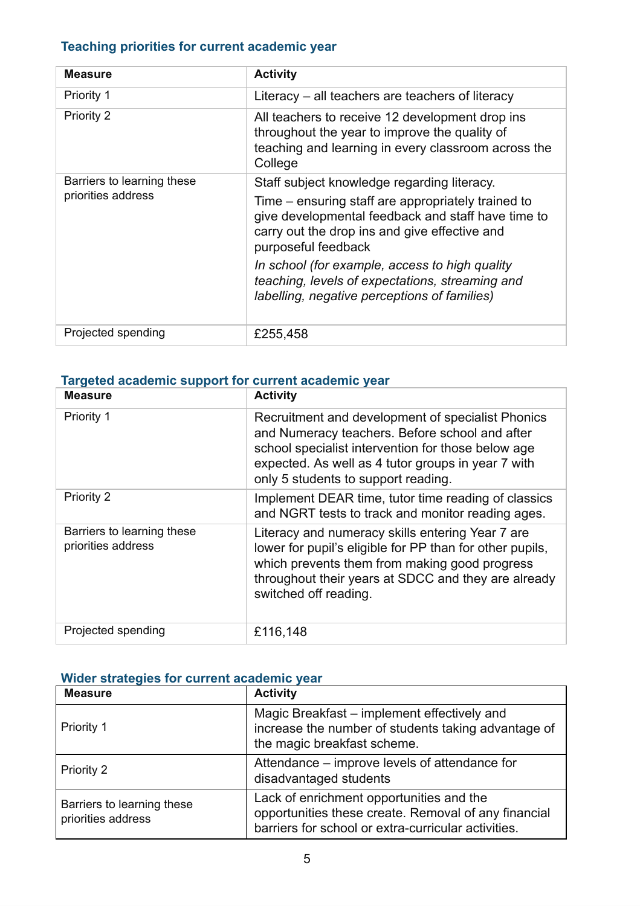## **Teaching priorities for current academic year**

| <b>Measure</b>             | <b>Activity</b>                                                                                                                                                                  |  |
|----------------------------|----------------------------------------------------------------------------------------------------------------------------------------------------------------------------------|--|
| <b>Priority 1</b>          | Literacy $-$ all teachers are teachers of literacy                                                                                                                               |  |
| <b>Priority 2</b>          | All teachers to receive 12 development drop ins<br>throughout the year to improve the quality of<br>teaching and learning in every classroom across the<br>College               |  |
| Barriers to learning these | Staff subject knowledge regarding literacy.                                                                                                                                      |  |
| priorities address         | Time – ensuring staff are appropriately trained to<br>give developmental feedback and staff have time to<br>carry out the drop ins and give effective and<br>purposeful feedback |  |
|                            | In school (for example, access to high quality<br>teaching, levels of expectations, streaming and<br>labelling, negative perceptions of families)                                |  |
| Projected spending         | £255,458                                                                                                                                                                         |  |

## **Targeted academic support for current academic year**

| <b>Measure</b>                                   | <b>Activity</b>                                                                                                                                                                                                                                        |
|--------------------------------------------------|--------------------------------------------------------------------------------------------------------------------------------------------------------------------------------------------------------------------------------------------------------|
| Priority 1                                       | Recruitment and development of specialist Phonics<br>and Numeracy teachers. Before school and after<br>school specialist intervention for those below age<br>expected. As well as 4 tutor groups in year 7 with<br>only 5 students to support reading. |
| <b>Priority 2</b>                                | Implement DEAR time, tutor time reading of classics<br>and NGRT tests to track and monitor reading ages.                                                                                                                                               |
| Barriers to learning these<br>priorities address | Literacy and numeracy skills entering Year 7 are<br>lower for pupil's eligible for PP than for other pupils,<br>which prevents them from making good progress<br>throughout their years at SDCC and they are already<br>switched off reading.          |
| Projected spending                               | £116,148                                                                                                                                                                                                                                               |

### **Wider strategies for current academic year**

| <b>Measure</b>                                   | <b>Activity</b>                                                                                                                                         |
|--------------------------------------------------|---------------------------------------------------------------------------------------------------------------------------------------------------------|
| Priority 1                                       | Magic Breakfast – implement effectively and<br>increase the number of students taking advantage of<br>the magic breakfast scheme.                       |
| Priority 2                                       | Attendance – improve levels of attendance for<br>disadvantaged students                                                                                 |
| Barriers to learning these<br>priorities address | Lack of enrichment opportunities and the<br>opportunities these create. Removal of any financial<br>barriers for school or extra-curricular activities. |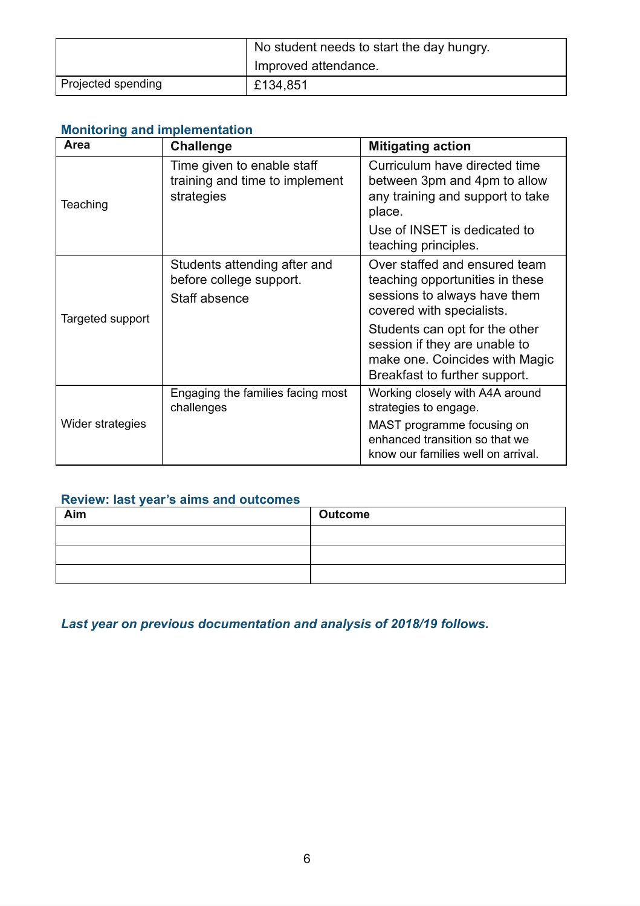|                    | No student needs to start the day hungry. |
|--------------------|-------------------------------------------|
|                    | Improved attendance.                      |
| Projected spending | £134,851                                  |

## **Monitoring and implementation**

| Area             | <b>Challenge</b>                                                           | <b>Mitigating action</b>                                                                                                           |
|------------------|----------------------------------------------------------------------------|------------------------------------------------------------------------------------------------------------------------------------|
| Teaching         | Time given to enable staff<br>training and time to implement<br>strategies | Curriculum have directed time<br>between 3pm and 4pm to allow<br>any training and support to take<br>place.                        |
|                  |                                                                            | Use of INSET is dedicated to<br>teaching principles.                                                                               |
|                  | Students attending after and<br>before college support.<br>Staff absence   | Over staffed and ensured team<br>teaching opportunities in these<br>sessions to always have them<br>covered with specialists.      |
| Targeted support |                                                                            | Students can opt for the other<br>session if they are unable to<br>make one. Coincides with Magic<br>Breakfast to further support. |
|                  | Engaging the families facing most<br>challenges                            | Working closely with A4A around<br>strategies to engage.                                                                           |
| Wider strategies |                                                                            | MAST programme focusing on<br>enhanced transition so that we<br>know our families well on arrival.                                 |

## **Review: last year's aims and outcomes**

| Aim | <b>Outcome</b> |
|-----|----------------|
|     |                |
|     |                |
|     |                |

*Last year on previous documentation and analysis of 2018/19 follows.*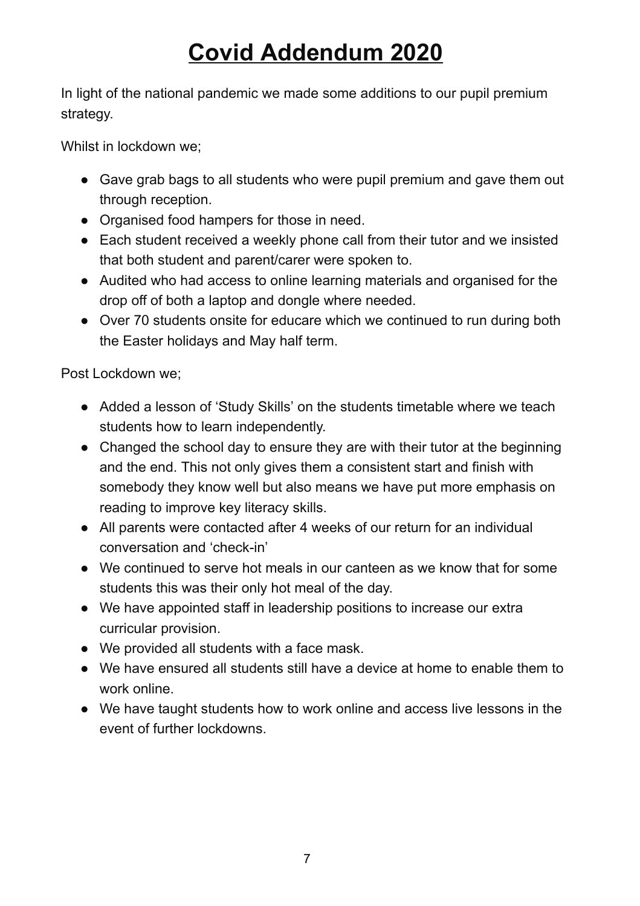# **Covid Addendum 2020**

In light of the national pandemic we made some additions to our pupil premium strategy.

Whilst in lockdown we;

- Gave grab bags to all students who were pupil premium and gave them out through reception.
- Organised food hampers for those in need.
- Each student received a weekly phone call from their tutor and we insisted that both student and parent/carer were spoken to.
- Audited who had access to online learning materials and organised for the drop off of both a laptop and dongle where needed.
- Over 70 students onsite for educare which we continued to run during both the Easter holidays and May half term.

Post Lockdown we;

- Added a lesson of 'Study Skills' on the students timetable where we teach students how to learn independently.
- Changed the school day to ensure they are with their tutor at the beginning and the end. This not only gives them a consistent start and finish with somebody they know well but also means we have put more emphasis on reading to improve key literacy skills.
- All parents were contacted after 4 weeks of our return for an individual conversation and 'check-in'
- We continued to serve hot meals in our canteen as we know that for some students this was their only hot meal of the day.
- We have appointed staff in leadership positions to increase our extra curricular provision.
- We provided all students with a face mask.
- We have ensured all students still have a device at home to enable them to work online.
- We have taught students how to work online and access live lessons in the event of further lockdowns.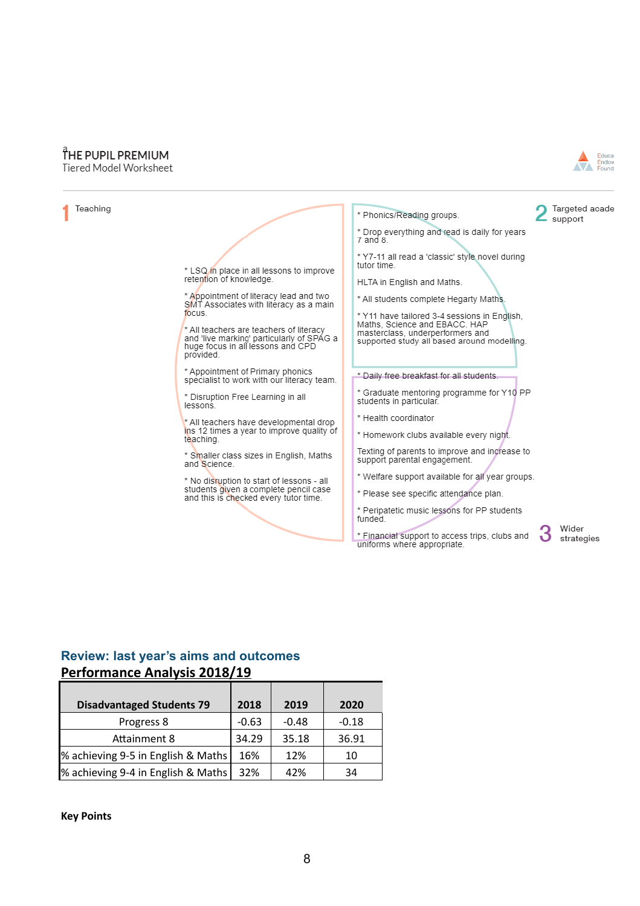## THE PUPIL PREMIUM







# **Review: last year's aims and outcomes**

#### **Performance Analysis 2018/19**

| <b>Disadvantaged Students 79</b>   | 2018    | 2019    | 2020    |
|------------------------------------|---------|---------|---------|
| Progress 8                         | $-0.63$ | $-0.48$ | $-0.18$ |
| <b>Attainment 8</b>                | 34.29   | 35.18   | 36.91   |
| % achieving 9-5 in English & Maths | 16%     | 12%     | 10      |
| % achieving 9-4 in English & Maths | 32%     | 42%     | 34      |

**Key Points**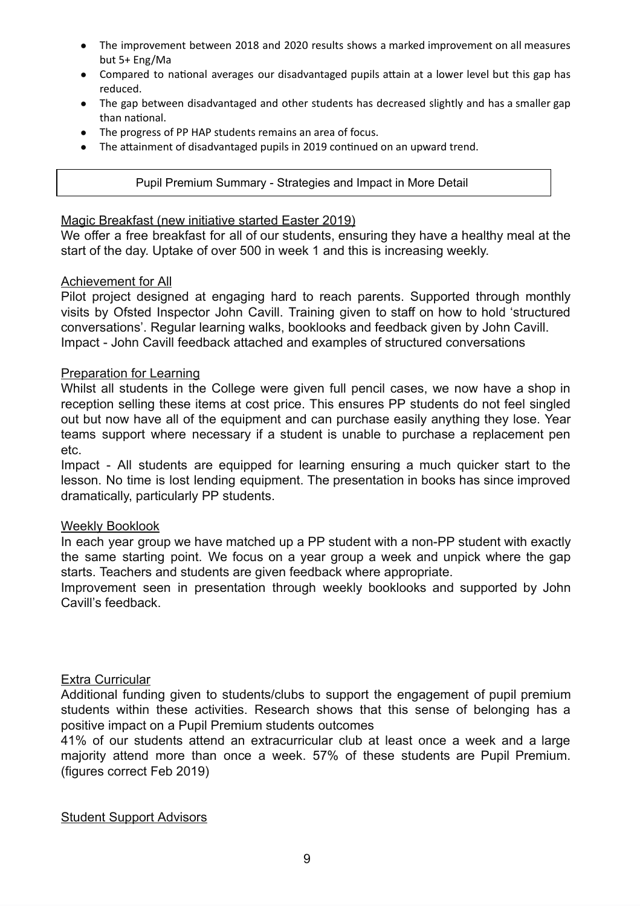- The improvement between 2018 and 2020 results shows a marked improvement on all measures but 5+ Eng/Ma
- Compared to national averages our disadvantaged pupils attain at a lower level but this gap has reduced.
- The gap between disadvantaged and other students has decreased slightly and has a smaller gap than national.
- The progress of PP HAP students remains an area of focus.
- The attainment of disadvantaged pupils in 2019 continued on an upward trend.

#### Pupil Premium Summary - Strategies and Impact in More Detail

#### Magic Breakfast (new initiative started Easter 2019)

We offer a free breakfast for all of our students, ensuring they have a healthy meal at the start of the day. Uptake of over 500 in week 1 and this is increasing weekly.

#### Achievement for All

Pilot project designed at engaging hard to reach parents. Supported through monthly visits by Ofsted Inspector John Cavill. Training given to staff on how to hold 'structured conversations'. Regular learning walks, booklooks and feedback given by John Cavill. Impact - John Cavill feedback attached and examples of structured conversations

#### Preparation for Learning

Whilst all students in the College were given full pencil cases, we now have a shop in reception selling these items at cost price. This ensures PP students do not feel singled out but now have all of the equipment and can purchase easily anything they lose. Year teams support where necessary if a student is unable to purchase a replacement pen etc.

Impact - All students are equipped for learning ensuring a much quicker start to the lesson. No time is lost lending equipment. The presentation in books has since improved dramatically, particularly PP students.

#### Weekly Booklook

In each year group we have matched up a PP student with a non-PP student with exactly the same starting point. We focus on a year group a week and unpick where the gap starts. Teachers and students are given feedback where appropriate.

Improvement seen in presentation through weekly booklooks and supported by John Cavill's feedback.

#### Extra Curricular

Additional funding given to students/clubs to support the engagement of pupil premium students within these activities. Research shows that this sense of belonging has a positive impact on a Pupil Premium students outcomes

41% of our students attend an extracurricular club at least once a week and a large majority attend more than once a week. 57% of these students are Pupil Premium. (figures correct Feb 2019)

#### Student Support Advisors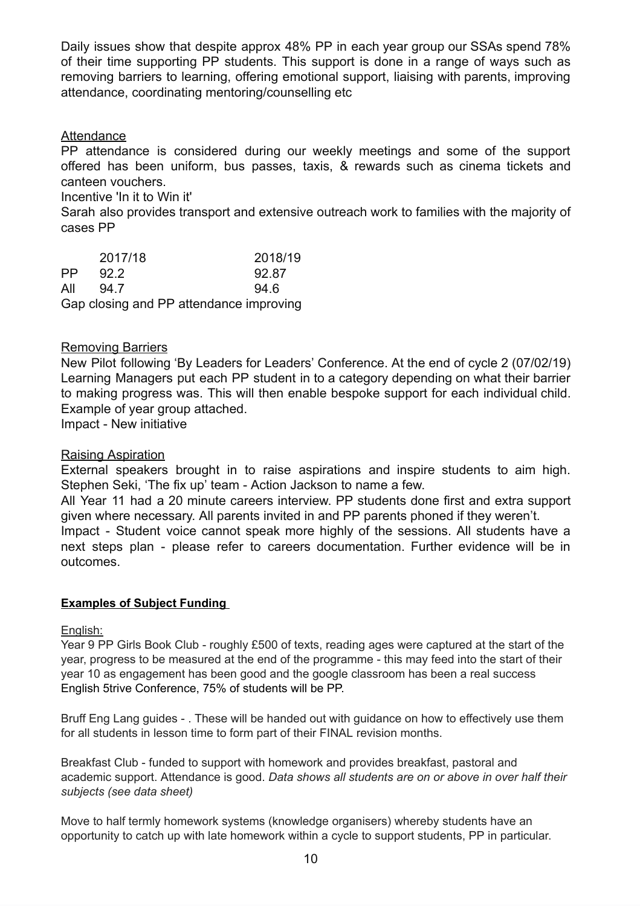Daily issues show that despite approx 48% PP in each year group our SSAs spend 78% of their time supporting PP students. This support is done in a range of ways such as removing barriers to learning, offering emotional support, liaising with parents, improving attendance, coordinating mentoring/counselling etc

#### Attendance

PP attendance is considered during our weekly meetings and some of the support offered has been uniform, bus passes, taxis, & rewards such as cinema tickets and canteen vouchers.

Incentive 'In it to Win it'

Sarah also provides transport and extensive outreach work to families with the majority of cases PP

|           | 2017/18 | 2018/19                                 |
|-----------|---------|-----------------------------------------|
| <b>PP</b> | 92.2    | 92.87                                   |
| All       | 94.7    | 946                                     |
|           |         | Gap closing and PP attendance improving |

#### Removing Barriers

New Pilot following 'By Leaders for Leaders' Conference. At the end of cycle 2 (07/02/19) Learning Managers put each PP student in to a category depending on what their barrier to making progress was. This will then enable bespoke support for each individual child. Example of year group attached.

Impact - New initiative

#### Raising Aspiration

External speakers brought in to raise aspirations and inspire students to aim high. Stephen Seki, 'The fix up' team - Action Jackson to name a few.

All Year 11 had a 20 minute careers interview. PP students done first and extra support given where necessary. All parents invited in and PP parents phoned if they weren't.

Impact - Student voice cannot speak more highly of the sessions. All students have a next steps plan - please refer to careers documentation. Further evidence will be in outcomes.

#### **Examples of Subject Funding**

#### English:

Year 9 PP Girls Book Club - roughly £500 of texts, reading ages were captured at the start of the year, progress to be measured at the end of the programme - this may feed into the start of their year 10 as engagement has been good and the google classroom has been a real success English 5trive Conference, 75% of students will be PP.

Bruff Eng Lang guides - . These will be handed out with guidance on how to effectively use them for all students in lesson time to form part of their FINAL revision months.

Breakfast Club - funded to support with homework and provides breakfast, pastoral and academic support. Attendance is good. *Data shows all students are on or above in over half their subjects (see data sheet)*

Move to half termly homework systems (knowledge organisers) whereby students have an opportunity to catch up with late homework within a cycle to support students, PP in particular.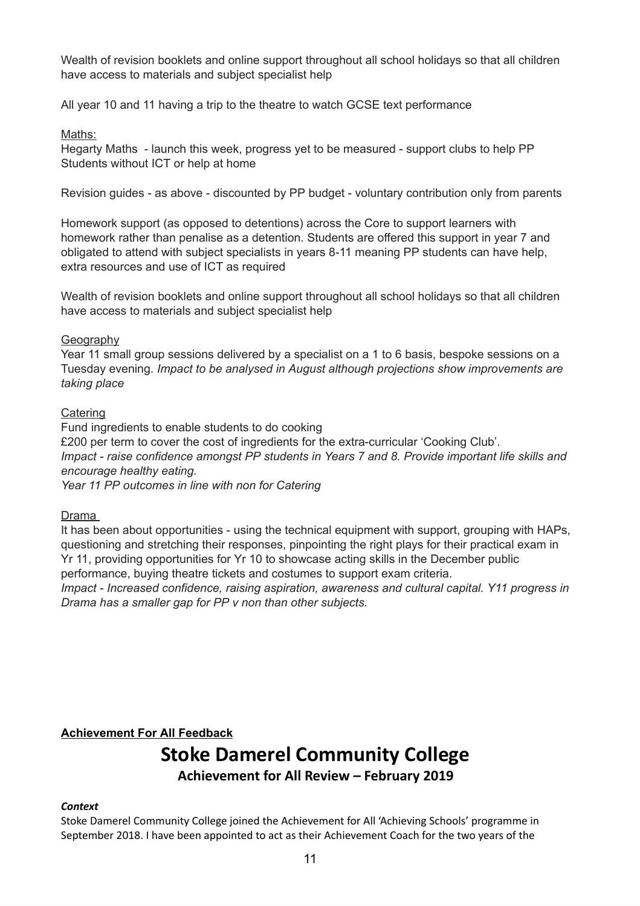Wealth of revision booklets and online support throughout all school holidays so that all children have access to materials and subject specialist help

All year 10 and 11 having a trip to the theatre to watch GCSE text performance

#### Maths:

Hegarty Maths - launch this week, progress yet to be measured - support clubs to help PP Students without ICT or help at home

Revision guides - as above - discounted by PP budget - voluntary contribution only from parents

Homework support (as opposed to detentions) across the Core to support learners with homework rather than penalise as a detention. Students are offered this support in year 7 and obligated to attend with subject specialists in years 8-11 meaning PP students can have help, extra resources and use of ICT as required

Wealth of revision booklets and online support throughout all school holidays so that all children have access to materials and subject specialist help

#### **Geography**

Year 11 small group sessions delivered by a specialist on a 1 to 6 basis, bespoke sessions on a Tuesday evening. *Impact to be analysed in August although projections show improvements are taking place*

#### **Catering**

Fund ingredients to enable students to do cooking £200 per term to cover the cost of ingredients for the extra-curricular 'Cooking Club'. *Impact - raise confidence amongst PP students in Years 7 and 8. Provide important life skills and encourage healthy eating.*

*Year 11 PP outcomes in line with non for Catering*

Drama

It has been about opportunities - using the technical equipment with support, grouping with HAPs, questioning and stretching their responses, pinpointing the right plays for their practical exam in Yr 11, providing opportunities for Yr 10 to showcase acting skills in the December public performance, buying theatre tickets and costumes to support exam criteria.

*Impact - Increased confidence, raising aspiration, awareness and cultural capital. Y11 progress in Drama has a smaller gap for PP v non than other subjects.*

#### **Achievement For All Feedback**

# **Stoke Damerel Community College Achievement for All Review – February 2019**

#### *Context*

Stoke Damerel Community College joined the Achievement for All 'Achieving Schools' programme in September 2018. I have been appointed to act as their Achievement Coach for the two years of the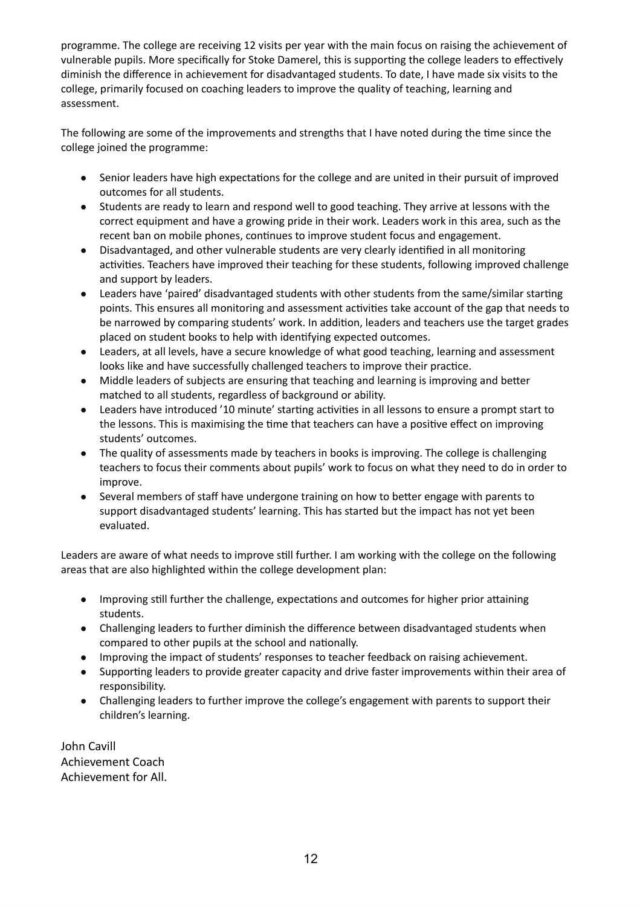programme. The college are receiving 12 visits per year with the main focus on raising the achievement of vulnerable pupils. More specifically for Stoke Damerel, this is supporting the college leaders to effectively diminish the difference in achievement for disadvantaged students. To date, I have made six visits to the college, primarily focused on coaching leaders to improve the quality of teaching, learning and assessment.

The following are some of the improvements and strengths that I have noted during the time since the college joined the programme:

- Senior leaders have high expectations for the college and are united in their pursuit of improved outcomes for all students.
- Students are ready to learn and respond well to good teaching. They arrive at lessons with the correct equipment and have a growing pride in their work. Leaders work in this area, such as the recent ban on mobile phones, continues to improve student focus and engagement.
- Disadvantaged, and other vulnerable students are very clearly idenfied in all monitoring activities. Teachers have improved their teaching for these students, following improved challenge and support by leaders.
- Leaders have 'paired' disadvantaged students with other students from the same/similar starting points. This ensures all monitoring and assessment activities take account of the gap that needs to be narrowed by comparing students' work. In addition, leaders and teachers use the target grades placed on student books to help with idenfying expected outcomes.
- Leaders, at all levels, have a secure knowledge of what good teaching, learning and assessment looks like and have successfully challenged teachers to improve their practice.
- Middle leaders of subjects are ensuring that teaching and learning is improving and better matched to all students, regardless of background or ability.
- Leaders have introduced '10 minute' starting activities in all lessons to ensure a prompt start to the lessons. This is maximising the time that teachers can have a positive effect on improving students' outcomes.
- The quality of assessments made by teachers in books is improving. The college is challenging teachers to focus their comments about pupils' work to focus on what they need to do in order to improve.
- Several members of staff have undergone training on how to better engage with parents to support disadvantaged students' learning. This has started but the impact has not yet been evaluated.

Leaders are aware of what needs to improve still further. I am working with the college on the following areas that are also highlighted within the college development plan:

- Improving still further the challenge, expectations and outcomes for higher prior attaining students.
- Challenging leaders to further diminish the difference between disadvantaged students when compared to other pupils at the school and nationally.
- Improving the impact of students' responses to teacher feedback on raising achievement.
- Supporting leaders to provide greater capacity and drive faster improvements within their area of responsibility.
- Challenging leaders to further improve the college's engagement with parents to support their children's learning.

John Cavill Achievement Coach Achievement for All.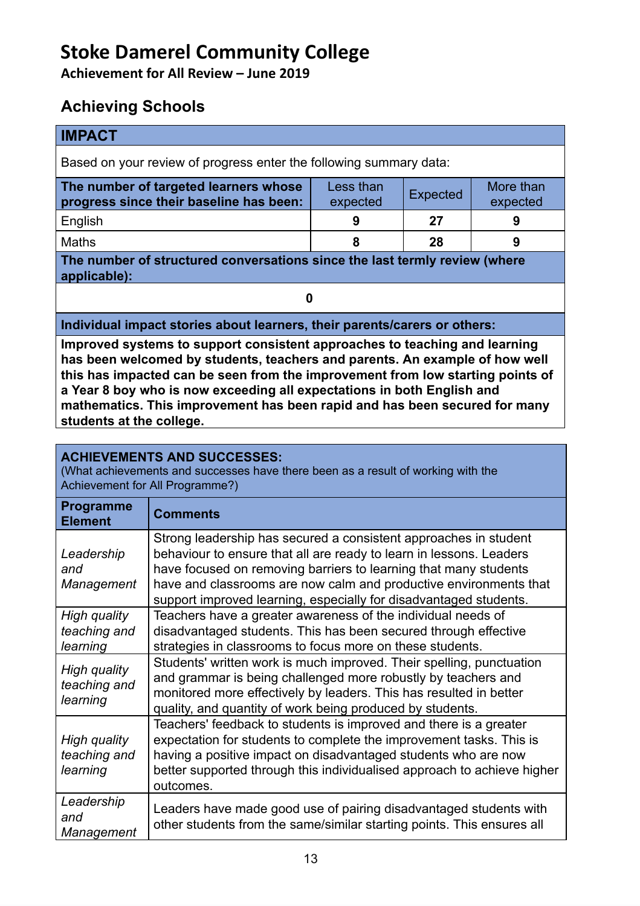# **Stoke Damerel Community College**

**Achievement for All Review – June 2019**

## **Achieving Schools**

| <b>IMPACT</b>                                                                                                                                         |   |    |   |  |  |
|-------------------------------------------------------------------------------------------------------------------------------------------------------|---|----|---|--|--|
| Based on your review of progress enter the following summary data:                                                                                    |   |    |   |  |  |
| More than<br>The number of targeted learners whose<br>Less than<br><b>Expected</b><br>progress since their baseline has been:<br>expected<br>expected |   |    |   |  |  |
| English                                                                                                                                               | 9 | 27 | 9 |  |  |
| <b>Maths</b>                                                                                                                                          | 8 | 28 | 9 |  |  |
| The number of structured conversations since the last termly review (where<br>applicable):                                                            |   |    |   |  |  |
| 0                                                                                                                                                     |   |    |   |  |  |
| Individual impact stories about learners, their parents/carers or others:                                                                             |   |    |   |  |  |

**Improved systems to support consistent approaches to teaching and learning has been welcomed by students, teachers and parents. An example of how well this has impacted can be seen from the improvement from low starting points of a Year 8 boy who is now exceeding all expectations in both English and mathematics. This improvement has been rapid and has been secured for many students at the college.** 

### **ACHIEVEMENTS AND SUCCESSES:**

(What achievements and successes have there been as a result of working with the Achievement for All Programme?)

| <b>Programme</b><br><b>Element</b>       | <b>Comments</b>                                                                                                                                                                                                                                                                                                                                       |
|------------------------------------------|-------------------------------------------------------------------------------------------------------------------------------------------------------------------------------------------------------------------------------------------------------------------------------------------------------------------------------------------------------|
| Leadership<br>and<br>Management          | Strong leadership has secured a consistent approaches in student<br>behaviour to ensure that all are ready to learn in lessons. Leaders<br>have focused on removing barriers to learning that many students<br>have and classrooms are now calm and productive environments that<br>support improved learning, especially for disadvantaged students. |
| High quality<br>teaching and<br>learning | Teachers have a greater awareness of the individual needs of<br>disadvantaged students. This has been secured through effective<br>strategies in classrooms to focus more on these students.                                                                                                                                                          |
| High quality<br>teaching and<br>learning | Students' written work is much improved. Their spelling, punctuation<br>and grammar is being challenged more robustly by teachers and<br>monitored more effectively by leaders. This has resulted in better<br>quality, and quantity of work being produced by students.                                                                              |
| High quality<br>teaching and<br>learning | Teachers' feedback to students is improved and there is a greater<br>expectation for students to complete the improvement tasks. This is<br>having a positive impact on disadvantaged students who are now<br>better supported through this individualised approach to achieve higher<br>outcomes.                                                    |
| Leadership<br>and<br>Management          | Leaders have made good use of pairing disadvantaged students with<br>other students from the same/similar starting points. This ensures all                                                                                                                                                                                                           |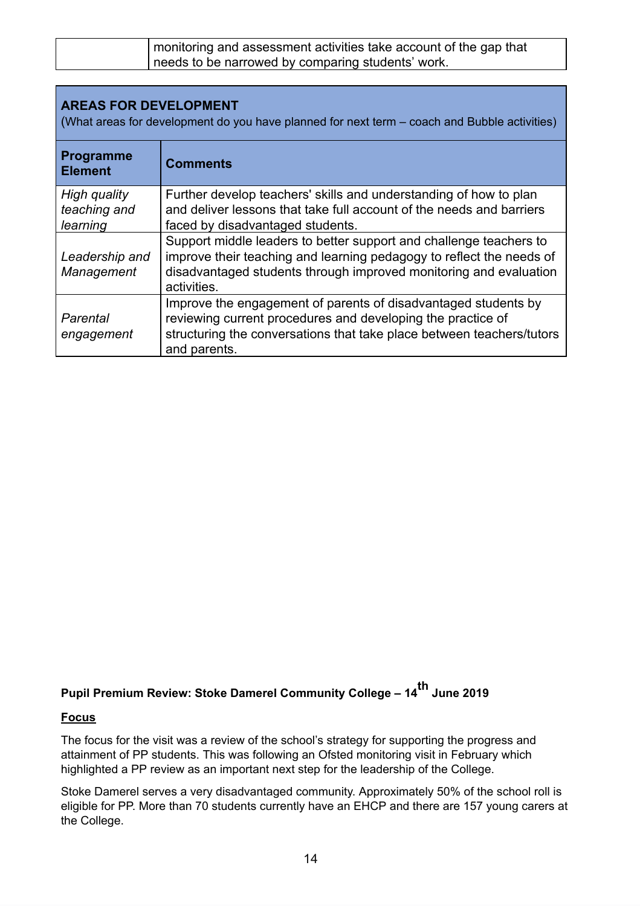| monitoring and assessment activities take account of the gap that |
|-------------------------------------------------------------------|
| needs to be narrowed by comparing students' work.                 |

| <b>AREAS FOR DEVELOPMENT</b><br>(What areas for development do you have planned for next term – coach and Bubble activities) |                                                                                                                                                                                                                                |  |
|------------------------------------------------------------------------------------------------------------------------------|--------------------------------------------------------------------------------------------------------------------------------------------------------------------------------------------------------------------------------|--|
| <b>Programme</b><br><b>Element</b>                                                                                           | <b>Comments</b>                                                                                                                                                                                                                |  |
| High quality<br>teaching and<br>learning                                                                                     | Further develop teachers' skills and understanding of how to plan<br>and deliver lessons that take full account of the needs and barriers<br>faced by disadvantaged students.                                                  |  |
| Leadership and<br>Management                                                                                                 | Support middle leaders to better support and challenge teachers to<br>improve their teaching and learning pedagogy to reflect the needs of<br>disadvantaged students through improved monitoring and evaluation<br>activities. |  |
| Parental<br>engagement                                                                                                       | Improve the engagement of parents of disadvantaged students by<br>reviewing current procedures and developing the practice of<br>structuring the conversations that take place between teachers/tutors                         |  |

## **Pupil Premium Review: Stoke Damerel Community College – 14 th June 2019**

#### **Focus**

and parents.

The focus for the visit was a review of the school's strategy for supporting the progress and attainment of PP students. This was following an Ofsted monitoring visit in February which highlighted a PP review as an important next step for the leadership of the College.

Stoke Damerel serves a very disadvantaged community. Approximately 50% of the school roll is eligible for PP. More than 70 students currently have an EHCP and there are 157 young carers at the College.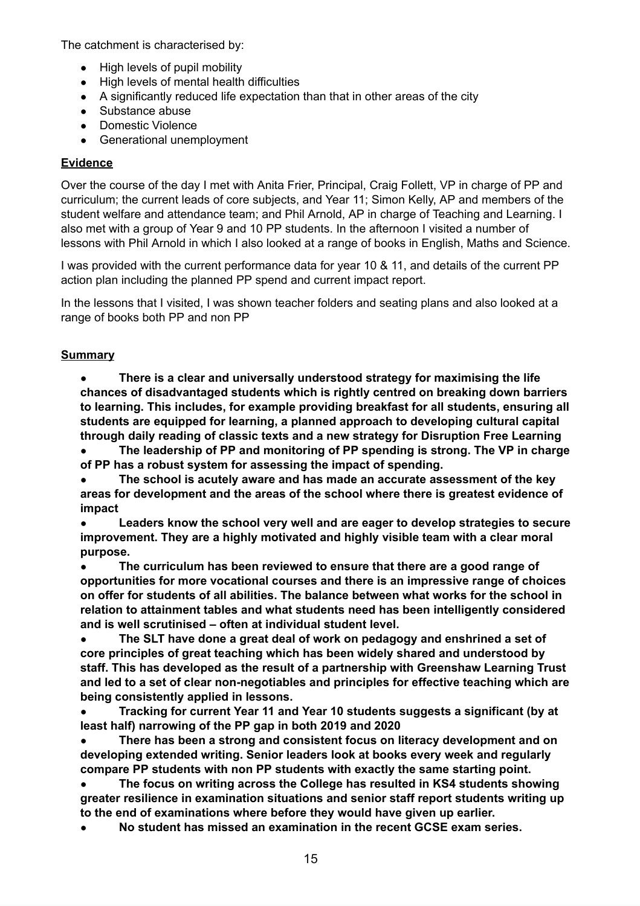The catchment is characterised by:

- High levels of pupil mobility
- High levels of mental health difficulties
- A significantly reduced life expectation than that in other areas of the city
- Substance abuse
- Domestic Violence
- Generational unemployment

### **Evidence**

Over the course of the day I met with Anita Frier, Principal, Craig Follett, VP in charge of PP and curriculum; the current leads of core subjects, and Year 11; Simon Kelly, AP and members of the student welfare and attendance team; and Phil Arnold, AP in charge of Teaching and Learning. I also met with a group of Year 9 and 10 PP students. In the afternoon I visited a number of lessons with Phil Arnold in which I also looked at a range of books in English, Maths and Science.

I was provided with the current performance data for year 10 & 11, and details of the current PP action plan including the planned PP spend and current impact report.

In the lessons that I visited, I was shown teacher folders and seating plans and also looked at a range of books both PP and non PP

### **Summary**

**● There is a clear and universally understood strategy for maximising the life chances of disadvantaged students which is rightly centred on breaking down barriers to learning. This includes, for example providing breakfast for all students, ensuring all students are equipped for learning, a planned approach to developing cultural capital through daily reading of classic texts and a new strategy for Disruption Free Learning**

**● The leadership of PP and monitoring of PP spending is strong. The VP in charge of PP has a robust system for assessing the impact of spending.**

**● The school is acutely aware and has made an accurate assessment of the key areas for development and the areas of the school where there is greatest evidence of impact**

**● Leaders know the school very well and are eager to develop strategies to secure improvement. They are a highly motivated and highly visible team with a clear moral purpose.**

**● The curriculum has been reviewed to ensure that there are a good range of opportunities for more vocational courses and there is an impressive range of choices on offer for students of all abilities. The balance between what works for the school in relation to attainment tables and what students need has been intelligently considered and is well scrutinised – often at individual student level.**

**● The SLT have done a great deal of work on pedagogy and enshrined a set of core principles of great teaching which has been widely shared and understood by staff. This has developed as the result of a partnership with Greenshaw Learning Trust and led to a set of clear non-negotiables and principles for effective teaching which are being consistently applied in lessons.**

**● Tracking for current Year 11 and Year 10 students suggests a significant (by at least half) narrowing of the PP gap in both 2019 and 2020**

**● There has been a strong and consistent focus on literacy development and on developing extended writing. Senior leaders look at books every week and regularly compare PP students with non PP students with exactly the same starting point.**

**● The focus on writing across the College has resulted in KS4 students showing greater resilience in examination situations and senior staff report students writing up to the end of examinations where before they would have given up earlier.**

**● No student has missed an examination in the recent GCSE exam series.**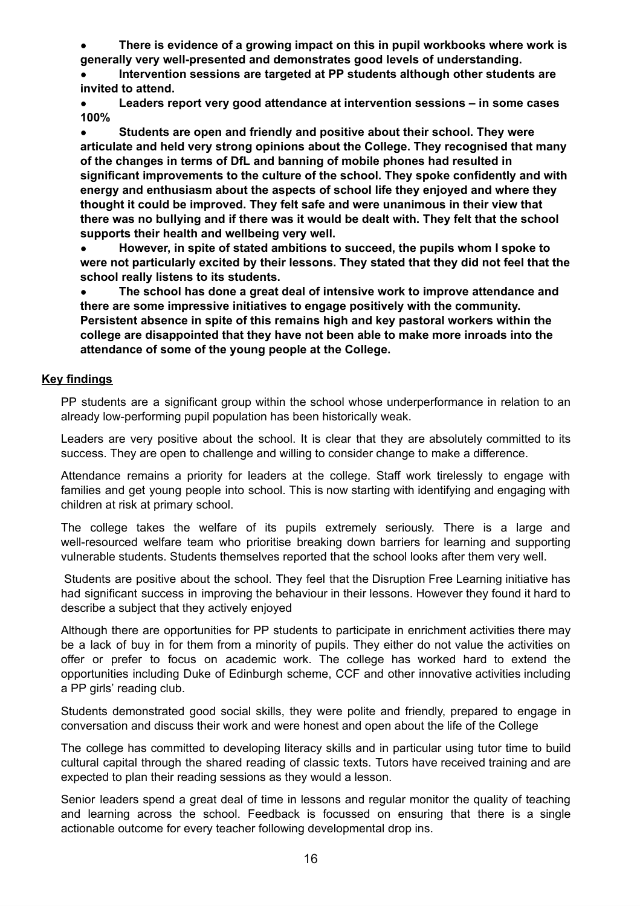**● There is evidence of a growing impact on this in pupil workbooks where work is generally very well-presented and demonstrates good levels of understanding.**

**● Intervention sessions are targeted at PP students although other students are invited to attend.**

**● Leaders report very good attendance at intervention sessions – in some cases 100%**

**● Students are open and friendly and positive about their school. They were articulate and held very strong opinions about the College. They recognised that many of the changes in terms of DfL and banning of mobile phones had resulted in significant improvements to the culture of the school. They spoke confidently and with energy and enthusiasm about the aspects of school life they enjoyed and where they thought it could be improved. They felt safe and were unanimous in their view that there was no bullying and if there was it would be dealt with. They felt that the school supports their health and wellbeing very well.**

**● However, in spite of stated ambitions to succeed, the pupils whom I spoke to were not particularly excited by their lessons. They stated that they did not feel that the school really listens to its students.**

**● The school has done a great deal of intensive work to improve attendance and there are some impressive initiatives to engage positively with the community. Persistent absence in spite of this remains high and key pastoral workers within the college are disappointed that they have not been able to make more inroads into the attendance of some of the young people at the College.**

#### **Key findings**

PP students are a significant group within the school whose underperformance in relation to an already low-performing pupil population has been historically weak.

Leaders are very positive about the school. It is clear that they are absolutely committed to its success. They are open to challenge and willing to consider change to make a difference.

Attendance remains a priority for leaders at the college. Staff work tirelessly to engage with families and get young people into school. This is now starting with identifying and engaging with children at risk at primary school.

The college takes the welfare of its pupils extremely seriously. There is a large and well-resourced welfare team who prioritise breaking down barriers for learning and supporting vulnerable students. Students themselves reported that the school looks after them very well.

Students are positive about the school. They feel that the Disruption Free Learning initiative has had significant success in improving the behaviour in their lessons. However they found it hard to describe a subject that they actively enjoyed

Although there are opportunities for PP students to participate in enrichment activities there may be a lack of buy in for them from a minority of pupils. They either do not value the activities on offer or prefer to focus on academic work. The college has worked hard to extend the opportunities including Duke of Edinburgh scheme, CCF and other innovative activities including a PP girls' reading club.

Students demonstrated good social skills, they were polite and friendly, prepared to engage in conversation and discuss their work and were honest and open about the life of the College

The college has committed to developing literacy skills and in particular using tutor time to build cultural capital through the shared reading of classic texts. Tutors have received training and are expected to plan their reading sessions as they would a lesson.

Senior leaders spend a great deal of time in lessons and regular monitor the quality of teaching and learning across the school. Feedback is focussed on ensuring that there is a single actionable outcome for every teacher following developmental drop ins.